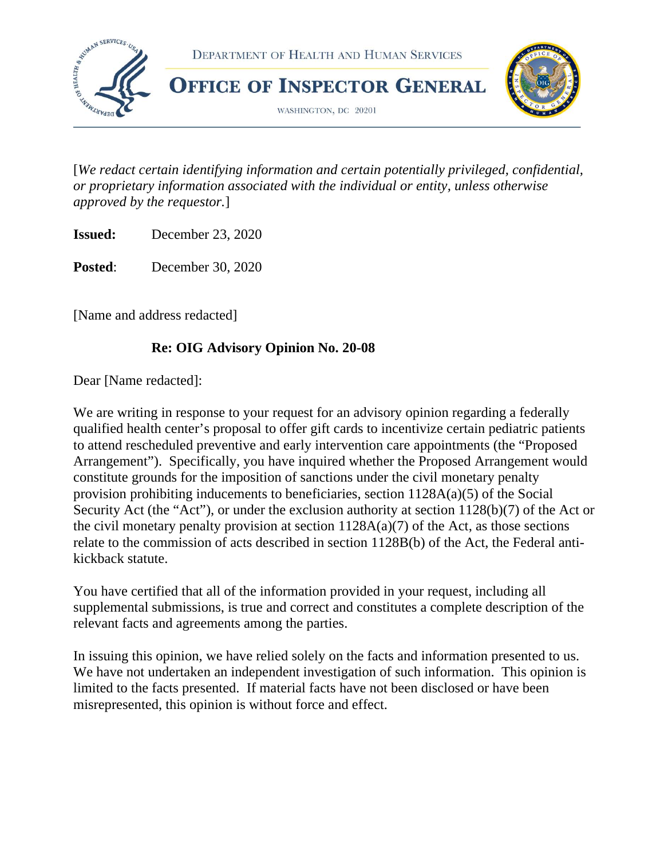

[*We redact certain identifying information and certain potentially privileged, confidential, or proprietary information associated with the individual or entity, unless otherwise approved by the requestor.*]

**Issued:** December 23, 2020

**Posted**: December 30, 2020

[Name and address redacted]

#### **Re: OIG Advisory Opinion No. 20-08**

Dear [Name redacted]:

We are writing in response to your request for an advisory opinion regarding a federally qualified health center's proposal to offer gift cards to incentivize certain pediatric patients to attend rescheduled preventive and early intervention care appointments (the "Proposed Arrangement"). Specifically, you have inquired whether the Proposed Arrangement would constitute grounds for the imposition of sanctions under the civil monetary penalty provision prohibiting inducements to beneficiaries, section 1128A(a)(5) of the Social Security Act (the "Act"), or under the exclusion authority at section 1128(b)(7) of the Act or the civil monetary penalty provision at section  $1128A(a)(7)$  of the Act, as those sections relate to the commission of acts described in section 1128B(b) of the Act, the Federal antikickback statute.

You have certified that all of the information provided in your request, including all supplemental submissions, is true and correct and constitutes a complete description of the relevant facts and agreements among the parties.

In issuing this opinion, we have relied solely on the facts and information presented to us. We have not undertaken an independent investigation of such information. This opinion is limited to the facts presented. If material facts have not been disclosed or have been misrepresented, this opinion is without force and effect.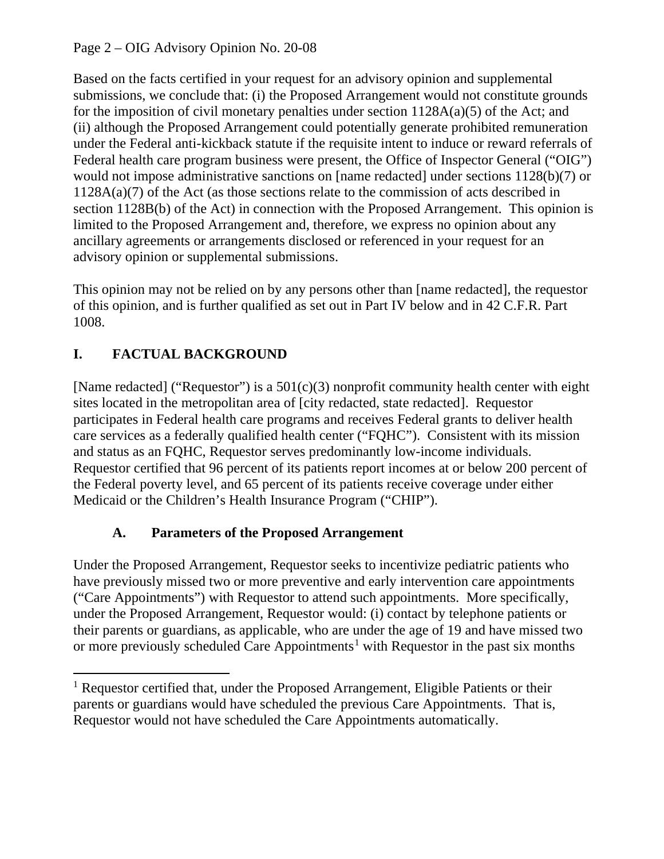### Page 2 – OIG Advisory Opinion No. 20-08

Based on the facts certified in your request for an advisory opinion and supplemental submissions, we conclude that: (i) the Proposed Arrangement would not constitute grounds for the imposition of civil monetary penalties under section 1128A(a)(5) of the Act; and (ii) although the Proposed Arrangement could potentially generate prohibited remuneration under the Federal anti-kickback statute if the requisite intent to induce or reward referrals of Federal health care program business were present, the Office of Inspector General ("OIG") would not impose administrative sanctions on [name redacted] under sections 1128(b)(7) or 1128A(a)(7) of the Act (as those sections relate to the commission of acts described in section 1128B(b) of the Act) in connection with the Proposed Arrangement. This opinion is limited to the Proposed Arrangement and, therefore, we express no opinion about any ancillary agreements or arrangements disclosed or referenced in your request for an advisory opinion or supplemental submissions.

This opinion may not be relied on by any persons other than [name redacted], the requestor of this opinion, and is further qualified as set out in Part IV below and in 42 C.F.R. Part 1008.

## **I. FACTUAL BACKGROUND**

[Name redacted] ("Requestor") is a  $501(c)(3)$  nonprofit community health center with eight sites located in the metropolitan area of [city redacted, state redacted]. Requestor participates in Federal health care programs and receives Federal grants to deliver health care services as a federally qualified health center ("FQHC"). Consistent with its mission and status as an FQHC, Requestor serves predominantly low-income individuals. Requestor certified that 96 percent of its patients report incomes at or below 200 percent of the Federal poverty level, and 65 percent of its patients receive coverage under either Medicaid or the Children's Health Insurance Program ("CHIP").

### **A. Parameters of the Proposed Arrangement**

Under the Proposed Arrangement, Requestor seeks to incentivize pediatric patients who have previously missed two or more preventive and early intervention care appointments ("Care Appointments") with Requestor to attend such appointments. More specifically, under the Proposed Arrangement, Requestor would: (i) contact by telephone patients or their parents or guardians, as applicable, who are under the age of 19 and have missed two or more previously scheduled Care Appointments<sup>[1](#page-1-0)</sup> with Requestor in the past six months

<span id="page-1-0"></span><sup>&</sup>lt;sup>1</sup> Requestor certified that, under the Proposed Arrangement, Eligible Patients or their parents or guardians would have scheduled the previous Care Appointments. That is, Requestor would not have scheduled the Care Appointments automatically.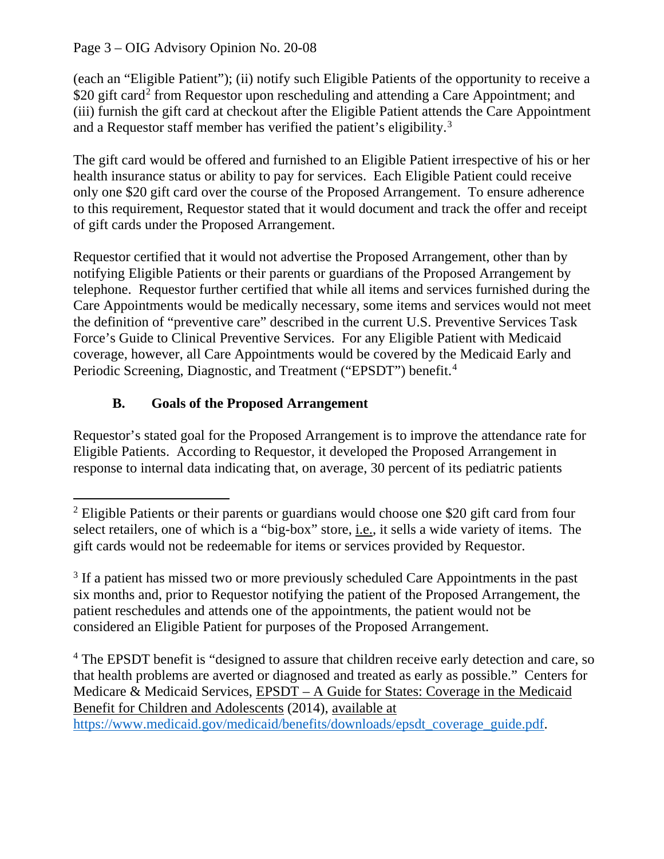Page 3 – OIG Advisory Opinion No. 20-08

(each an "Eligible Patient"); (ii) notify such Eligible Patients of the opportunity to receive a \$[2](#page-2-0)0 gift card<sup>2</sup> from Requestor upon rescheduling and attending a Care Appointment; and (iii) furnish the gift card at checkout after the Eligible Patient attends the Care Appointment and a Requestor staff member has verified the patient's eligibility.<sup>[3](#page-2-1)</sup>

The gift card would be offered and furnished to an Eligible Patient irrespective of his or her health insurance status or ability to pay for services. Each Eligible Patient could receive only one \$20 gift card over the course of the Proposed Arrangement. To ensure adherence to this requirement, Requestor stated that it would document and track the offer and receipt of gift cards under the Proposed Arrangement.

Requestor certified that it would not advertise the Proposed Arrangement, other than by notifying Eligible Patients or their parents or guardians of the Proposed Arrangement by telephone. Requestor further certified that while all items and services furnished during the Care Appointments would be medically necessary, some items and services would not meet the definition of "preventive care" described in the current U.S. Preventive Services Task Force's Guide to Clinical Preventive Services. For any Eligible Patient with Medicaid coverage, however, all Care Appointments would be covered by the Medicaid Early and Periodic Screening, Diagnostic, and Treatment ("EPSDT") benefit.<sup>[4](#page-2-2)</sup>

## **B. Goals of the Proposed Arrangement**

Requestor's stated goal for the Proposed Arrangement is to improve the attendance rate for Eligible Patients. According to Requestor, it developed the Proposed Arrangement in response to internal data indicating that, on average, 30 percent of its pediatric patients

<span id="page-2-2"></span><sup>4</sup> The EPSDT benefit is "designed to assure that children receive early detection and care, so that health problems are averted or diagnosed and treated as early as possible." Centers for Medicare & Medicaid Services, EPSDT – A Guide for States: Coverage in the Medicaid Benefit for Children and Adolescents (2014), available at [https://www.medicaid.gov/medicaid/benefits/downloads/epsdt\\_coverage\\_guide.pdf.](https://www.medicaid.gov/medicaid/benefits/downloads/epsdt_coverage_guide.pdf)

<span id="page-2-0"></span> $2$  Eligible Patients or their parents or guardians would choose one \$20 gift card from four select retailers, one of which is a "big-box" store, *i.e.*, it sells a wide variety of items. The gift cards would not be redeemable for items or services provided by Requestor.

<span id="page-2-1"></span><sup>&</sup>lt;sup>3</sup> If a patient has missed two or more previously scheduled Care Appointments in the past six months and, prior to Requestor notifying the patient of the Proposed Arrangement, the patient reschedules and attends one of the appointments, the patient would not be considered an Eligible Patient for purposes of the Proposed Arrangement.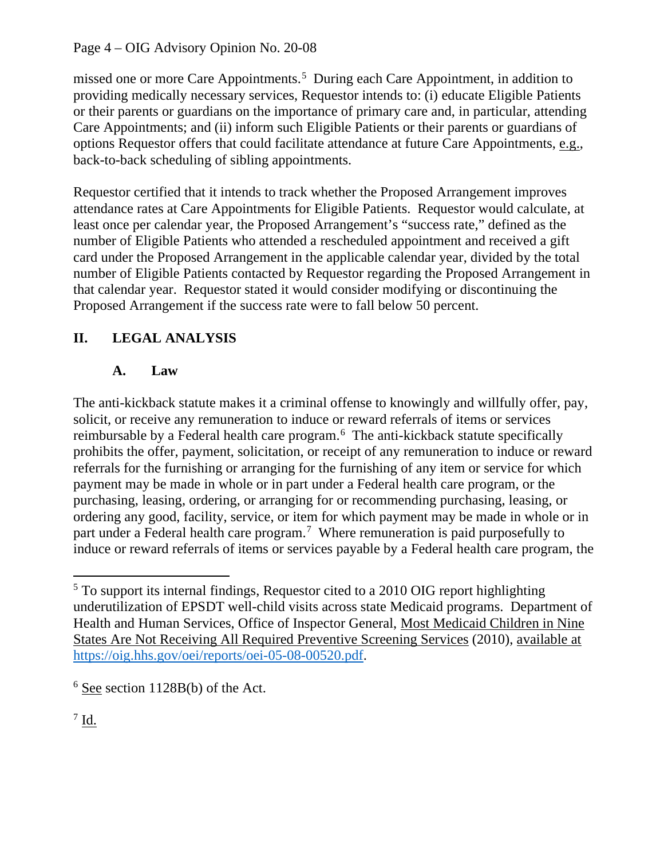missed one or more Care Appointments.<sup>[5](#page-3-0)</sup> During each Care Appointment, in addition to providing medically necessary services, Requestor intends to: (i) educate Eligible Patients or their parents or guardians on the importance of primary care and, in particular, attending Care Appointments; and (ii) inform such Eligible Patients or their parents or guardians of options Requestor offers that could facilitate attendance at future Care Appointments, e.g., back-to-back scheduling of sibling appointments.

Requestor certified that it intends to track whether the Proposed Arrangement improves attendance rates at Care Appointments for Eligible Patients. Requestor would calculate, at least once per calendar year, the Proposed Arrangement's "success rate," defined as the number of Eligible Patients who attended a rescheduled appointment and received a gift card under the Proposed Arrangement in the applicable calendar year, divided by the total number of Eligible Patients contacted by Requestor regarding the Proposed Arrangement in that calendar year. Requestor stated it would consider modifying or discontinuing the Proposed Arrangement if the success rate were to fall below 50 percent.

# **II. LEGAL ANALYSIS**

## **A. Law**

The anti-kickback statute makes it a criminal offense to knowingly and willfully offer, pay, solicit, or receive any remuneration to induce or reward referrals of items or services reimbursable by a Federal health care program.<sup>[6](#page-3-1)</sup> The anti-kickback statute specifically prohibits the offer, payment, solicitation, or receipt of any remuneration to induce or reward referrals for the furnishing or arranging for the furnishing of any item or service for which payment may be made in whole or in part under a Federal health care program, or the purchasing, leasing, ordering, or arranging for or recommending purchasing, leasing, or ordering any good, facility, service, or item for which payment may be made in whole or in part under a Federal health care program.<sup>[7](#page-3-2)</sup> Where remuneration is paid purposefully to induce or reward referrals of items or services payable by a Federal health care program, the

<span id="page-3-0"></span><sup>&</sup>lt;sup>5</sup> To support its internal findings, Requestor cited to a 2010 OIG report highlighting underutilization of EPSDT well-child visits across state Medicaid programs. Department of Health and Human Services, Office of Inspector General, Most Medicaid Children in Nine States Are Not Receiving All Required Preventive Screening Services (2010), available at [https://oig.hhs.gov/oei/reports/oei-05-08-00520.pdf.](https://oig.hhs.gov/oei/reports/oei-05-08-00520.pdf)

<span id="page-3-2"></span><span id="page-3-1"></span> $6$  See section 1128B(b) of the Act.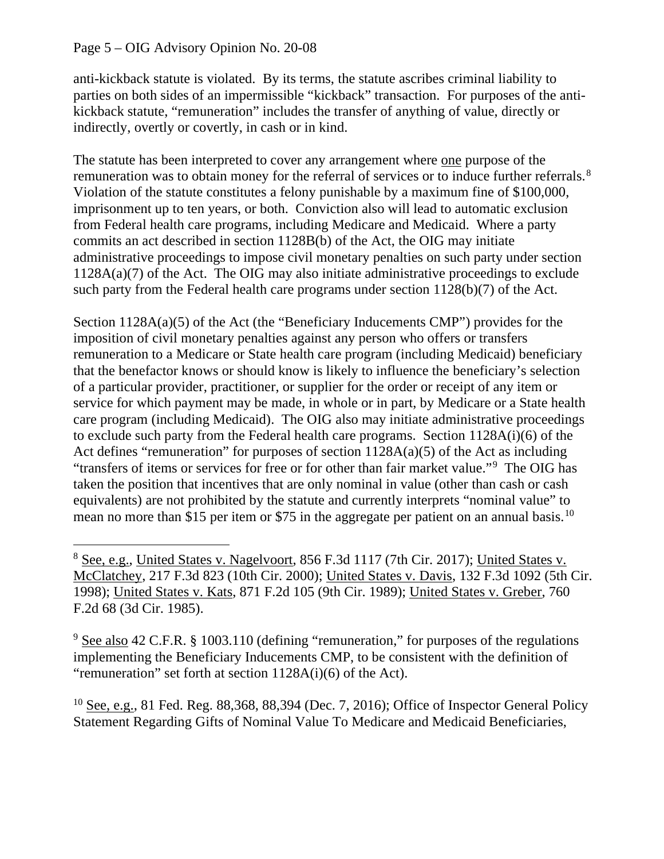anti-kickback statute is violated. By its terms, the statute ascribes criminal liability to parties on both sides of an impermissible "kickback" transaction. For purposes of the antikickback statute, "remuneration" includes the transfer of anything of value, directly or indirectly, overtly or covertly, in cash or in kind.

The statute has been interpreted to cover any arrangement where one purpose of the remuneration was to obtain money for the referral of services or to induce further referrals.<sup>[8](#page-4-0)</sup> Violation of the statute constitutes a felony punishable by a maximum fine of \$100,000, imprisonment up to ten years, or both. Conviction also will lead to automatic exclusion from Federal health care programs, including Medicare and Medicaid. Where a party commits an act described in section 1128B(b) of the Act, the OIG may initiate administrative proceedings to impose civil monetary penalties on such party under section  $1128A(a)(7)$  of the Act. The OIG may also initiate administrative proceedings to exclude such party from the Federal health care programs under section 1128(b)(7) of the Act.

Section 1128A(a)(5) of the Act (the "Beneficiary Inducements CMP") provides for the imposition of civil monetary penalties against any person who offers or transfers remuneration to a Medicare or State health care program (including Medicaid) beneficiary that the benefactor knows or should know is likely to influence the beneficiary's selection of a particular provider, practitioner, or supplier for the order or receipt of any item or service for which payment may be made, in whole or in part, by Medicare or a State health care program (including Medicaid). The OIG also may initiate administrative proceedings to exclude such party from the Federal health care programs. Section 1128A(i)(6) of the Act defines "remuneration" for purposes of section 1128A(a)(5) of the Act as including "transfers of items or services for free or for other than fair market value."<sup>[9](#page-4-1)</sup> The OIG has taken the position that incentives that are only nominal in value (other than cash or cash equivalents) are not prohibited by the statute and currently interprets "nominal value" to mean no more than \$15 per item or \$75 in the aggregate per patient on an annual basis.<sup>[10](#page-4-2)</sup>

<span id="page-4-1"></span><sup>9</sup> See also 42 C.F.R. § 1003.110 (defining "remuneration," for purposes of the regulations implementing the Beneficiary Inducements CMP, to be consistent with the definition of "remuneration" set forth at section 1128A(i)(6) of the Act).

<span id="page-4-2"></span><sup>10</sup> See, e.g., 81 Fed. Reg. 88,368, 88,394 (Dec. 7, 2016); Office of Inspector General Policy Statement Regarding Gifts of Nominal Value To Medicare and Medicaid Beneficiaries,

<span id="page-4-0"></span><sup>8</sup> See, e.g., United States v. Nagelvoort, 856 F.3d 1117 (7th Cir. 2017); United States v. McClatchey, 217 F.3d 823 (10th Cir. 2000); United States v. Davis, 132 F.3d 1092 (5th Cir. 1998); United States v. Kats, 871 F.2d 105 (9th Cir. 1989); United States v. Greber, 760 F.2d 68 (3d Cir. 1985).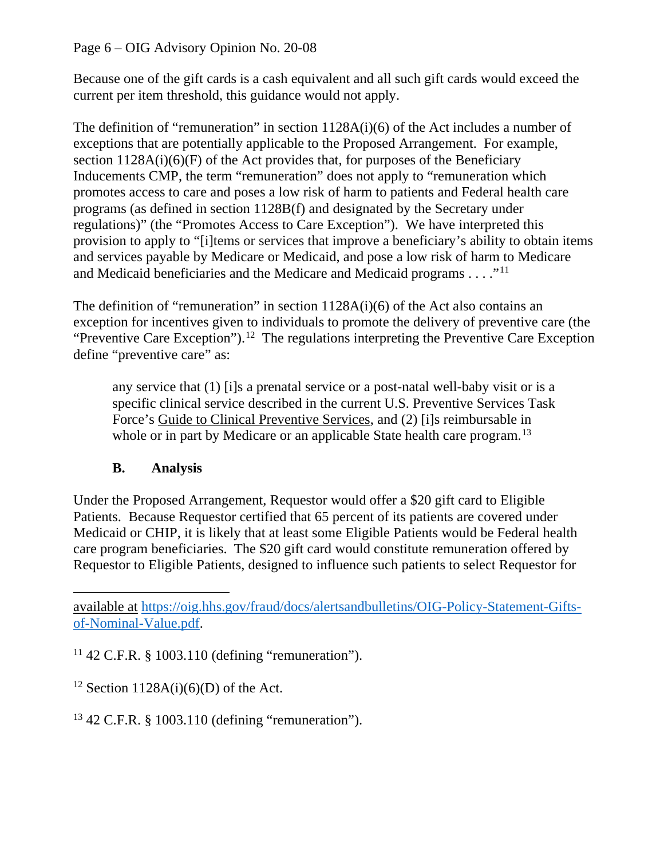#### Page 6 – OIG Advisory Opinion No. 20-08

Because one of the gift cards is a cash equivalent and all such gift cards would exceed the current per item threshold, this guidance would not apply.

The definition of "remuneration" in section 1128A(i)(6) of the Act includes a number of exceptions that are potentially applicable to the Proposed Arrangement. For example, section  $1128A(i)(6)(F)$  of the Act provides that, for purposes of the Beneficiary Inducements CMP, the term "remuneration" does not apply to "remuneration which promotes access to care and poses a low risk of harm to patients and Federal health care programs (as defined in section 1128B(f) and designated by the Secretary under regulations)" (the "Promotes Access to Care Exception"). We have interpreted this provision to apply to "[i]tems or services that improve a beneficiary's ability to obtain items and services payable by Medicare or Medicaid, and pose a low risk of harm to Medicare and Medicaid beneficiaries and the Medicare and Medicaid programs  $\dots$ ."<sup>[11](#page-5-0)</sup>

The definition of "remuneration" in section 1128A(i)(6) of the Act also contains an exception for incentives given to individuals to promote the delivery of preventive care (the "Preventive Care Exception").<sup>[12](#page-5-1)</sup> The regulations interpreting the Preventive Care Exception define "preventive care" as:

any service that (1) [i]s a prenatal service or a post-natal well-baby visit or is a specific clinical service described in the current U.S. Preventive Services Task Force's Guide to Clinical Preventive Services, and (2) [i]s reimbursable in whole or in part by Medicare or an applicable State health care program.<sup>[13](#page-5-2)</sup>

#### **B. Analysis**

Under the Proposed Arrangement, Requestor would offer a \$20 gift card to Eligible Patients. Because Requestor certified that 65 percent of its patients are covered under Medicaid or CHIP, it is likely that at least some Eligible Patients would be Federal health care program beneficiaries. The \$20 gift card would constitute remuneration offered by Requestor to Eligible Patients, designed to influence such patients to select Requestor for

<span id="page-5-0"></span><sup>11</sup> 42 C.F.R. § 1003.110 (defining "remuneration").

<span id="page-5-1"></span><sup>12</sup> Section 1128A(i)(6)(D) of the Act.

<span id="page-5-2"></span><sup>13</sup> 42 C.F.R. § 1003.110 (defining "remuneration").

available at [https://oig.hhs.gov/fraud/docs/alertsandbulletins/OIG-Policy-Statement-Gifts](https://oig.hhs.gov/fraud/docs/alertsandbulletins/OIG-Policy-Statement-Gifts-of-Nominal-Value.pdf)[of-Nominal-Value.pdf.](https://oig.hhs.gov/fraud/docs/alertsandbulletins/OIG-Policy-Statement-Gifts-of-Nominal-Value.pdf)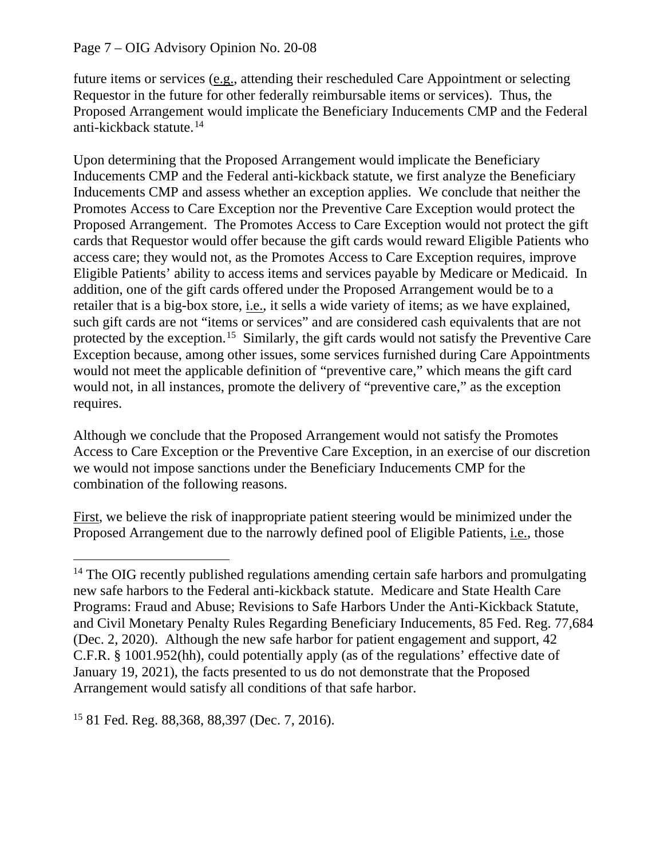future items or services (e.g., attending their rescheduled Care Appointment or selecting Requestor in the future for other federally reimbursable items or services). Thus, the Proposed Arrangement would implicate the Beneficiary Inducements CMP and the Federal anti-kickback statute.[14](#page-6-0)

Upon determining that the Proposed Arrangement would implicate the Beneficiary Inducements CMP and the Federal anti-kickback statute, we first analyze the Beneficiary Inducements CMP and assess whether an exception applies. We conclude that neither the Promotes Access to Care Exception nor the Preventive Care Exception would protect the Proposed Arrangement. The Promotes Access to Care Exception would not protect the gift cards that Requestor would offer because the gift cards would reward Eligible Patients who access care; they would not, as the Promotes Access to Care Exception requires, improve Eligible Patients' ability to access items and services payable by Medicare or Medicaid. In addition, one of the gift cards offered under the Proposed Arrangement would be to a retailer that is a big-box store, i.e., it sells a wide variety of items; as we have explained, such gift cards are not "items or services" and are considered cash equivalents that are not protected by the exception.<sup>15</sup> Similarly, the gift cards would not satisfy the Preventive Care Exception because, among other issues, some services furnished during Care Appointments would not meet the applicable definition of "preventive care," which means the gift card would not, in all instances, promote the delivery of "preventive care," as the exception requires.

Although we conclude that the Proposed Arrangement would not satisfy the Promotes Access to Care Exception or the Preventive Care Exception, in an exercise of our discretion we would not impose sanctions under the Beneficiary Inducements CMP for the combination of the following reasons.

First, we believe the risk of inappropriate patient steering would be minimized under the Proposed Arrangement due to the narrowly defined pool of Eligible Patients, i.e., those

<span id="page-6-1"></span><sup>15</sup> 81 Fed. Reg. 88,368, 88,397 (Dec. 7, 2016).

<span id="page-6-0"></span><sup>&</sup>lt;sup>14</sup> The OIG recently published regulations amending certain safe harbors and promulgating new safe harbors to the Federal anti-kickback statute. Medicare and State Health Care Programs: Fraud and Abuse; Revisions to Safe Harbors Under the Anti-Kickback Statute, and Civil Monetary Penalty Rules Regarding Beneficiary Inducements, 85 Fed. Reg. 77,684 (Dec. 2, 2020). Although the new safe harbor for patient engagement and support, 42 C.F.R. § 1001.952(hh), could potentially apply (as of the regulations' effective date of January 19, 2021), the facts presented to us do not demonstrate that the Proposed Arrangement would satisfy all conditions of that safe harbor.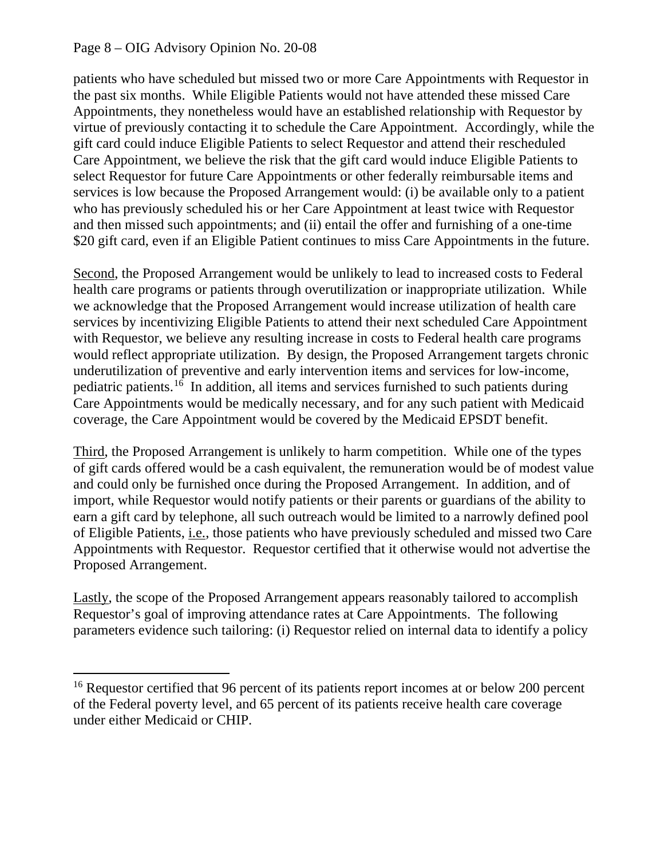#### Page 8 – OIG Advisory Opinion No. 20-08

patients who have scheduled but missed two or more Care Appointments with Requestor in the past six months. While Eligible Patients would not have attended these missed Care Appointments, they nonetheless would have an established relationship with Requestor by virtue of previously contacting it to schedule the Care Appointment. Accordingly, while the gift card could induce Eligible Patients to select Requestor and attend their rescheduled Care Appointment, we believe the risk that the gift card would induce Eligible Patients to select Requestor for future Care Appointments or other federally reimbursable items and services is low because the Proposed Arrangement would: (i) be available only to a patient who has previously scheduled his or her Care Appointment at least twice with Requestor and then missed such appointments; and (ii) entail the offer and furnishing of a one-time \$20 gift card, even if an Eligible Patient continues to miss Care Appointments in the future.

Second, the Proposed Arrangement would be unlikely to lead to increased costs to Federal health care programs or patients through overutilization or inappropriate utilization. While we acknowledge that the Proposed Arrangement would increase utilization of health care services by incentivizing Eligible Patients to attend their next scheduled Care Appointment with Requestor, we believe any resulting increase in costs to Federal health care programs would reflect appropriate utilization. By design, the Proposed Arrangement targets chronic underutilization of preventive and early intervention items and services for low-income, pediatric patients.<sup>[16](#page-7-0)</sup> In addition, all items and services furnished to such patients during Care Appointments would be medically necessary, and for any such patient with Medicaid coverage, the Care Appointment would be covered by the Medicaid EPSDT benefit.

Third, the Proposed Arrangement is unlikely to harm competition. While one of the types of gift cards offered would be a cash equivalent, the remuneration would be of modest value and could only be furnished once during the Proposed Arrangement. In addition, and of import, while Requestor would notify patients or their parents or guardians of the ability to earn a gift card by telephone, all such outreach would be limited to a narrowly defined pool of Eligible Patients, i.e., those patients who have previously scheduled and missed two Care Appointments with Requestor. Requestor certified that it otherwise would not advertise the Proposed Arrangement.

Lastly, the scope of the Proposed Arrangement appears reasonably tailored to accomplish Requestor's goal of improving attendance rates at Care Appointments. The following parameters evidence such tailoring: (i) Requestor relied on internal data to identify a policy

<span id="page-7-0"></span><sup>&</sup>lt;sup>16</sup> Requestor certified that 96 percent of its patients report incomes at or below 200 percent of the Federal poverty level, and 65 percent of its patients receive health care coverage under either Medicaid or CHIP.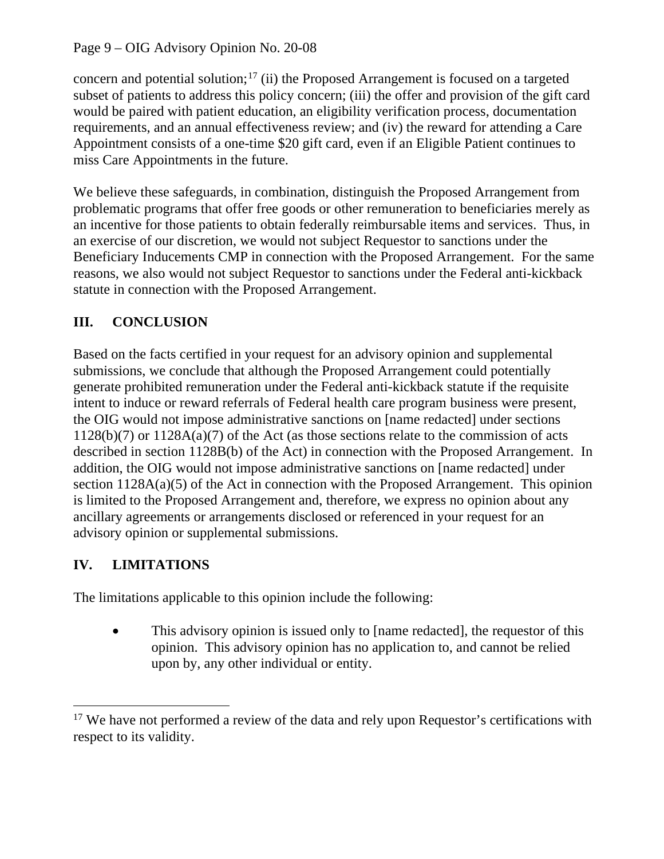concern and potential solution;<sup>[17](#page-8-0)</sup> (ii) the Proposed Arrangement is focused on a targeted subset of patients to address this policy concern; (iii) the offer and provision of the gift card would be paired with patient education, an eligibility verification process, documentation requirements, and an annual effectiveness review; and (iv) the reward for attending a Care Appointment consists of a one-time \$20 gift card, even if an Eligible Patient continues to miss Care Appointments in the future.

We believe these safeguards, in combination, distinguish the Proposed Arrangement from problematic programs that offer free goods or other remuneration to beneficiaries merely as an incentive for those patients to obtain federally reimbursable items and services. Thus, in an exercise of our discretion, we would not subject Requestor to sanctions under the Beneficiary Inducements CMP in connection with the Proposed Arrangement. For the same reasons, we also would not subject Requestor to sanctions under the Federal anti-kickback statute in connection with the Proposed Arrangement.

# **III. CONCLUSION**

Based on the facts certified in your request for an advisory opinion and supplemental submissions, we conclude that although the Proposed Arrangement could potentially generate prohibited remuneration under the Federal anti-kickback statute if the requisite intent to induce or reward referrals of Federal health care program business were present, the OIG would not impose administrative sanctions on [name redacted] under sections 1128(b)(7) or 1128A(a)(7) of the Act (as those sections relate to the commission of acts described in section 1128B(b) of the Act) in connection with the Proposed Arrangement. In addition, the OIG would not impose administrative sanctions on [name redacted] under section 1128A(a)(5) of the Act in connection with the Proposed Arrangement. This opinion is limited to the Proposed Arrangement and, therefore, we express no opinion about any ancillary agreements or arrangements disclosed or referenced in your request for an advisory opinion or supplemental submissions.

# **IV. LIMITATIONS**

The limitations applicable to this opinion include the following:

This advisory opinion is issued only to [name redacted], the requestor of this opinion. This advisory opinion has no application to, and cannot be relied upon by, any other individual or entity.

<span id="page-8-0"></span><sup>&</sup>lt;sup>17</sup> We have not performed a review of the data and rely upon Requestor's certifications with respect to its validity.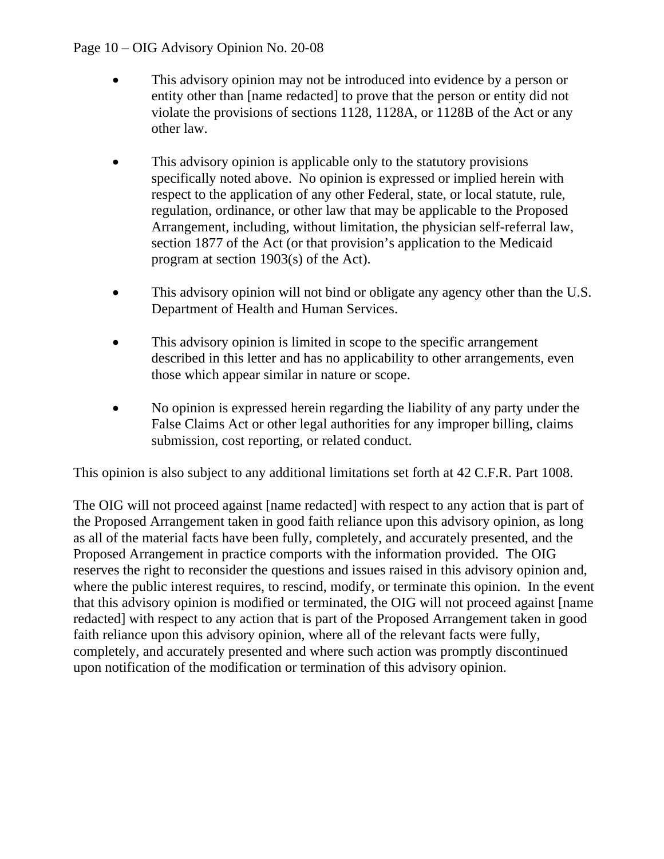#### Page 10 – OIG Advisory Opinion No. 20-08

- This advisory opinion may not be introduced into evidence by a person or entity other than [name redacted] to prove that the person or entity did not violate the provisions of sections 1128, 1128A, or 1128B of the Act or any other law.
- This advisory opinion is applicable only to the statutory provisions specifically noted above. No opinion is expressed or implied herein with respect to the application of any other Federal, state, or local statute, rule, regulation, ordinance, or other law that may be applicable to the Proposed Arrangement, including, without limitation, the physician self-referral law, section 1877 of the Act (or that provision's application to the Medicaid program at section 1903(s) of the Act).
- This advisory opinion will not bind or obligate any agency other than the U.S. Department of Health and Human Services.
- This advisory opinion is limited in scope to the specific arrangement described in this letter and has no applicability to other arrangements, even those which appear similar in nature or scope.
- No opinion is expressed herein regarding the liability of any party under the False Claims Act or other legal authorities for any improper billing, claims submission, cost reporting, or related conduct.

This opinion is also subject to any additional limitations set forth at 42 C.F.R. Part 1008.

The OIG will not proceed against [name redacted] with respect to any action that is part of the Proposed Arrangement taken in good faith reliance upon this advisory opinion, as long as all of the material facts have been fully, completely, and accurately presented, and the Proposed Arrangement in practice comports with the information provided. The OIG reserves the right to reconsider the questions and issues raised in this advisory opinion and, where the public interest requires, to rescind, modify, or terminate this opinion. In the event that this advisory opinion is modified or terminated, the OIG will not proceed against [name redacted] with respect to any action that is part of the Proposed Arrangement taken in good faith reliance upon this advisory opinion, where all of the relevant facts were fully, completely, and accurately presented and where such action was promptly discontinued upon notification of the modification or termination of this advisory opinion.